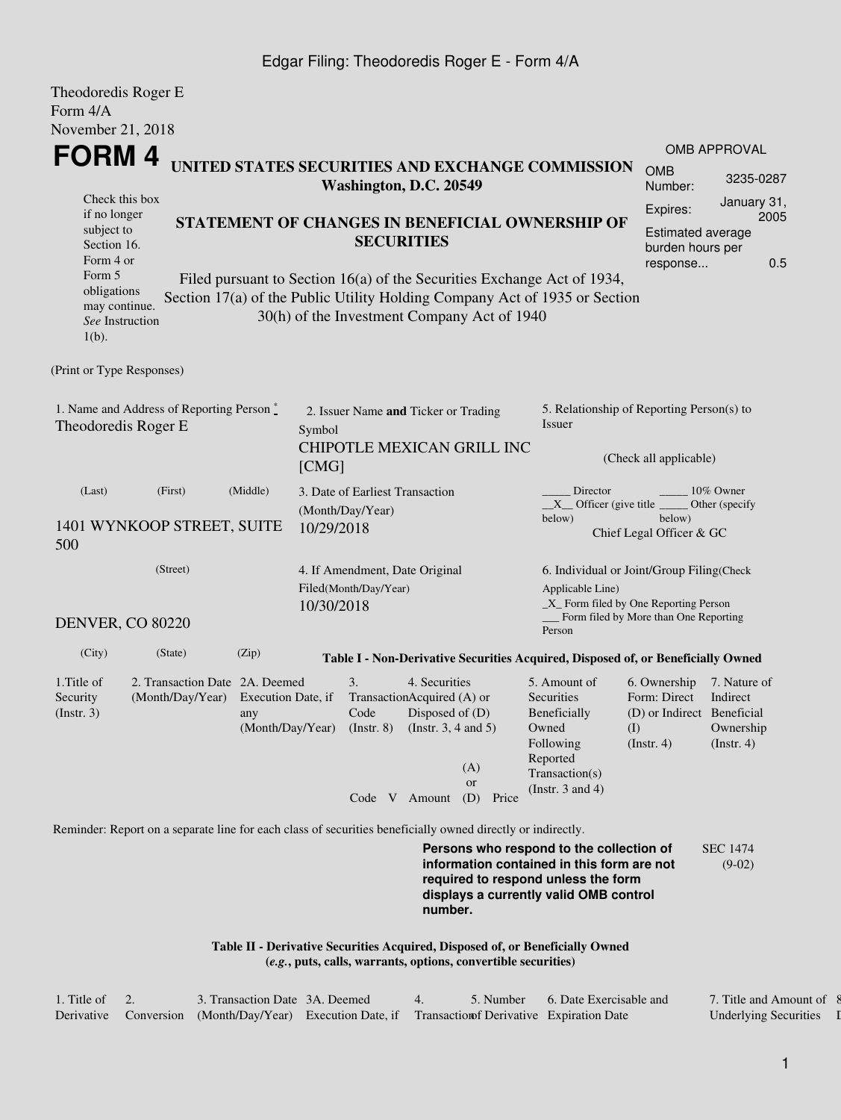## Edgar Filing: Theodoredis Roger E - Form 4/A

| Theodoredis Roger E                                                                                                                                                                                                                                                           |                                                                                                             |                                                                |                                                          |                                                     |                                                                                                                 |                                                     |                                                                                                                                                                         |                                                                                     |                                                           |  |  |  |  |
|-------------------------------------------------------------------------------------------------------------------------------------------------------------------------------------------------------------------------------------------------------------------------------|-------------------------------------------------------------------------------------------------------------|----------------------------------------------------------------|----------------------------------------------------------|-----------------------------------------------------|-----------------------------------------------------------------------------------------------------------------|-----------------------------------------------------|-------------------------------------------------------------------------------------------------------------------------------------------------------------------------|-------------------------------------------------------------------------------------|-----------------------------------------------------------|--|--|--|--|
| Form 4/A                                                                                                                                                                                                                                                                      |                                                                                                             |                                                                |                                                          |                                                     |                                                                                                                 |                                                     |                                                                                                                                                                         |                                                                                     |                                                           |  |  |  |  |
| November 21, 2018                                                                                                                                                                                                                                                             |                                                                                                             |                                                                |                                                          |                                                     |                                                                                                                 |                                                     |                                                                                                                                                                         |                                                                                     |                                                           |  |  |  |  |
| FORM 4                                                                                                                                                                                                                                                                        |                                                                                                             |                                                                |                                                          |                                                     |                                                                                                                 |                                                     | UNITED STATES SECURITIES AND EXCHANGE COMMISSION                                                                                                                        |                                                                                     | <b>OMB APPROVAL</b>                                       |  |  |  |  |
|                                                                                                                                                                                                                                                                               | <b>OMB</b><br>Number:                                                                                       | 3235-0287                                                      |                                                          |                                                     |                                                                                                                 |                                                     |                                                                                                                                                                         |                                                                                     |                                                           |  |  |  |  |
| Check this box<br>if no longer                                                                                                                                                                                                                                                | Expires:                                                                                                    | January 31,                                                    |                                                          |                                                     |                                                                                                                 |                                                     |                                                                                                                                                                         |                                                                                     |                                                           |  |  |  |  |
| subject to<br>Section 16.<br>Form 4 or                                                                                                                                                                                                                                        |                                                                                                             | STATEMENT OF CHANGES IN BENEFICIAL OWNERSHIP OF                | <b>Estimated average</b><br>burden hours per<br>response | 2005<br>0.5                                         |                                                                                                                 |                                                     |                                                                                                                                                                         |                                                                                     |                                                           |  |  |  |  |
| Form 5<br>Filed pursuant to Section 16(a) of the Securities Exchange Act of 1934,<br>obligations<br>Section 17(a) of the Public Utility Holding Company Act of 1935 or Section<br>may continue.<br>30(h) of the Investment Company Act of 1940<br>See Instruction<br>$1(b)$ . |                                                                                                             |                                                                |                                                          |                                                     |                                                                                                                 |                                                     |                                                                                                                                                                         |                                                                                     |                                                           |  |  |  |  |
| (Print or Type Responses)                                                                                                                                                                                                                                                     |                                                                                                             |                                                                |                                                          |                                                     |                                                                                                                 |                                                     |                                                                                                                                                                         |                                                                                     |                                                           |  |  |  |  |
| Theodoredis Roger E                                                                                                                                                                                                                                                           | 1. Name and Address of Reporting Person*                                                                    | Symbol                                                         | 2. Issuer Name and Ticker or Trading                     |                                                     |                                                                                                                 | 5. Relationship of Reporting Person(s) to<br>Issuer |                                                                                                                                                                         |                                                                                     |                                                           |  |  |  |  |
|                                                                                                                                                                                                                                                                               |                                                                                                             | [CMG]                                                          |                                                          |                                                     | CHIPOTLE MEXICAN GRILL INC                                                                                      | (Check all applicable)                              |                                                                                                                                                                         |                                                                                     |                                                           |  |  |  |  |
| (Last)                                                                                                                                                                                                                                                                        | (First)                                                                                                     | (Middle)                                                       |                                                          | 3. Date of Earliest Transaction<br>(Month/Day/Year) |                                                                                                                 |                                                     | Director<br>10% Owner<br>$X$ Officer (give title<br>Other (specify<br>below)                                                                                            |                                                                                     |                                                           |  |  |  |  |
| 500                                                                                                                                                                                                                                                                           | 1401 WYNKOOP STREET, SUITE                                                                                  | 10/29/2018                                                     |                                                          |                                                     | below)<br>Chief Legal Officer & GC                                                                              |                                                     |                                                                                                                                                                         |                                                                                     |                                                           |  |  |  |  |
| (Street)<br>4. If Amendment, Date Original<br>Filed(Month/Day/Year)                                                                                                                                                                                                           |                                                                                                             |                                                                |                                                          |                                                     |                                                                                                                 |                                                     | Applicable Line)                                                                                                                                                        | 6. Individual or Joint/Group Filing(Check<br>_X_ Form filed by One Reporting Person |                                                           |  |  |  |  |
| <b>DENVER, CO 80220</b>                                                                                                                                                                                                                                                       |                                                                                                             |                                                                | 10/30/2018                                               |                                                     |                                                                                                                 |                                                     | Person                                                                                                                                                                  | Form filed by More than One Reporting                                               |                                                           |  |  |  |  |
| (City)                                                                                                                                                                                                                                                                        | (State)                                                                                                     | (Zip)                                                          |                                                          |                                                     |                                                                                                                 |                                                     | Table I - Non-Derivative Securities Acquired, Disposed of, or Beneficially Owned                                                                                        |                                                                                     |                                                           |  |  |  |  |
| 1. Title of<br>2. Transaction Date 2A. Deemed<br>Security<br>(Instr. 3)                                                                                                                                                                                                       |                                                                                                             | (Month/Day/Year) Execution Date, if<br>any<br>(Month/Day/Year) |                                                          | 3.<br>Code                                          | 4. Securities<br>TransactionAcquired (A) or<br>Disposed of $(D)$<br>(Instr. 8) (Instr. 3, 4 and 5)<br>(A)<br>or |                                                     | 5. Amount of<br>Securities<br>Beneficially<br>Owned<br>Following<br>Reported<br>Transaction(s)                                                                          | 6. Ownership<br>Form: Direct<br>(D) or Indirect Beneficial<br>(I)<br>(Insert. 4)    | 7. Nature of<br>Indirect<br>Ownership<br>$($ Instr. 4 $)$ |  |  |  |  |
|                                                                                                                                                                                                                                                                               |                                                                                                             |                                                                |                                                          | Code $V$ Amount (D)                                 |                                                                                                                 | Price                                               | (Instr. $3$ and $4$ )                                                                                                                                                   |                                                                                     |                                                           |  |  |  |  |
|                                                                                                                                                                                                                                                                               | Reminder: Report on a separate line for each class of securities beneficially owned directly or indirectly. |                                                                |                                                          |                                                     |                                                                                                                 |                                                     |                                                                                                                                                                         |                                                                                     |                                                           |  |  |  |  |
|                                                                                                                                                                                                                                                                               |                                                                                                             |                                                                |                                                          |                                                     | number.                                                                                                         |                                                     | Persons who respond to the collection of<br>information contained in this form are not<br>required to respond unless the form<br>displays a currently valid OMB control |                                                                                     | <b>SEC 1474</b><br>$(9-02)$                               |  |  |  |  |
|                                                                                                                                                                                                                                                                               |                                                                                                             |                                                                |                                                          |                                                     |                                                                                                                 |                                                     | Table II - Derivative Securities Acquired, Disposed of, or Beneficially Owned                                                                                           |                                                                                     |                                                           |  |  |  |  |

**(***e.g.***, puts, calls, warrants, options, convertible securities)**

| 1. Title of | 3. Transaction Date 3A. Deemed |                                                                                                  | .5. Number | 6. Date Exercisable and | 7. Title and Amount of 8     |  |
|-------------|--------------------------------|--------------------------------------------------------------------------------------------------|------------|-------------------------|------------------------------|--|
|             |                                | Derivative Conversion (Month/Day/Year) Execution Date, if Transaction Derivative Expiration Date |            |                         | <b>Underlying Securities</b> |  |